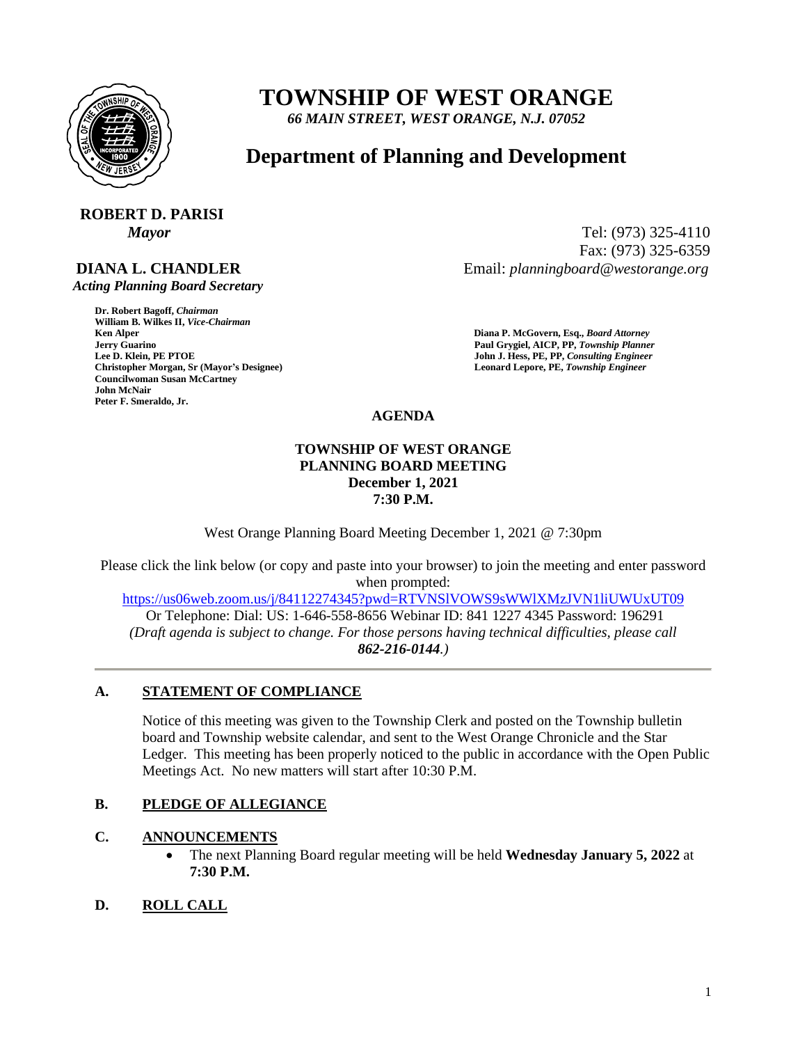

# **TOWNSHIP OF WEST ORANGE**

*66 MAIN STREET, WEST ORANGE, N.J. 07052*

### **Department of Planning and Development**

## **ROBERT D. PARISI**

### **DIANA L. CHANDLER**

 *Acting Planning Board Secretary*

**Dr. Robert Bagoff,** *Chairman*  **William B. Wilkes II,** *Vice-Chairman*  **Ken Alper****Diana P. McGovern, Esq.,** *Board Attorney*  **Formula Guarino Paul Grygiel, AICP, PP,** *Township Planner* **<b>Lee D. Klein, PE PTOE Properties and** *John J. Hess, PE, PP, Consulting Engineer* **Christopher Morgan, Sr (Mayor's Designee) Leonard Lepore, PE,** *Township Engineer*  **Councilwoman Susan McCartney John McNair Peter F. Smeraldo, Jr.** 

*Mayor* Tel: (973) 325-4110 Fax: (973) 325-6359 Email: *planningboard@westorange.org*

**John J. Hess, PE, PP,** *Consulting Engineer* 

**AGENDA**

#### **TOWNSHIP OF WEST ORANGE PLANNING BOARD MEETING December 1, 2021 7:30 P.M.**

West Orange Planning Board Meeting December 1, 2021 @ 7:30pm

Please click the link below (or copy and paste into your browser) to join the meeting and enter password when prompted:

<https://us06web.zoom.us/j/84112274345?pwd=RTVNSlVOWS9sWWlXMzJVN1liUWUxUT09>

Or Telephone: Dial: US: 1-646-558-8656 Webinar ID: 841 1227 4345 Password: 196291 *(Draft agenda is subject to change. For those persons having technical difficulties, please call 862-216-0144.)*

#### **A. STATEMENT OF COMPLIANCE**

Notice of this meeting was given to the Township Clerk and posted on the Township bulletin board and Township website calendar, and sent to the West Orange Chronicle and the Star Ledger. This meeting has been properly noticed to the public in accordance with the Open Public Meetings Act. No new matters will start after 10:30 P.M.

#### **B. PLEDGE OF ALLEGIANCE**

#### **C. ANNOUNCEMENTS**

- The next Planning Board regular meeting will be held **Wednesday January 5, 2022** at **7:30 P.M.**
- **D. ROLL CALL**